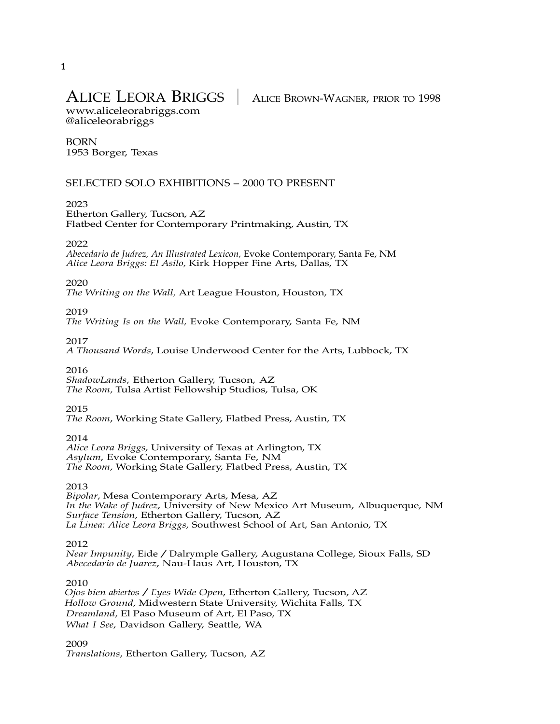# ALICE LEORA BRIGGS │ ALICE BROWN-WAGNER, PRIOR TO <sup>1998</sup>

www.aliceleorabriggs.com @aliceleorabriggs

### BORN 1953 Borger, Texas

# SELECTED SOLO EXHIBITIONS – 2000 TO PRESENT

### 2023

Etherton Gallery, Tucson, AZ Flatbed Center for Contemporary Printmaking, Austin, TX

### 2022

*Abecedario de Juárez, An Illustrated Lexicon,* Evoke Contemporary, Santa Fe, NM *Alice Leora Briggs: El Asilo,* Kirk Hopper Fine Arts, Dallas, TX

#### 2020

*The Writing on the Wall,* Art League Houston, Houston, TX

### 2019

*The Writing Is on the Wall,* Evoke Contemporary, Santa Fe, NM

#### 2017

*A Thousand Words*, Louise Underwood Center for the Arts, Lubbock, TX

### 2016

*ShadowLands*, Etherton Gallery, Tucson, AZ *The Room,* Tulsa Artist Fellowship Studios, Tulsa, OK

### 2015

*The Room*, Working State Gallery, Flatbed Press, Austin, TX

### 2014

*Alice Leora Briggs,* University of Texas at Arlington, TX *Asylum*, Evoke Contemporary, Santa Fe, NM *The Room*, Working State Gallery, Flatbed Press, Austin, TX

### 2013

*Bipolar*, Mesa Contemporary Arts, Mesa, AZ *In the Wake of Juárez*, University of New Mexico Art Museum, Albuquerque, NM *Surface Tension*, Etherton Gallery, Tucson, AZ *La Linea: Alice Leora Briggs*, Southwest School of Art, San Antonio, TX

#### 2012

*Near Impunity*, Eide/Dalrymple Gallery, Augustana College, Sioux Falls, SD *Abecedario de Juarez*, Nau-Haus Art, Houston, TX

#### 2010

*Ojos bien abiertos*/*Eyes Wide Open*, Etherton Gallery, Tucson, AZ *Hollow Ground*, Midwestern State University, Wichita Falls, TX *Dreamland*, El Paso Museum of Art, El Paso, TX *What I See*, Davidson Gallery, Seattle, WA

2009 *Translations*, Etherton Gallery, Tucson, AZ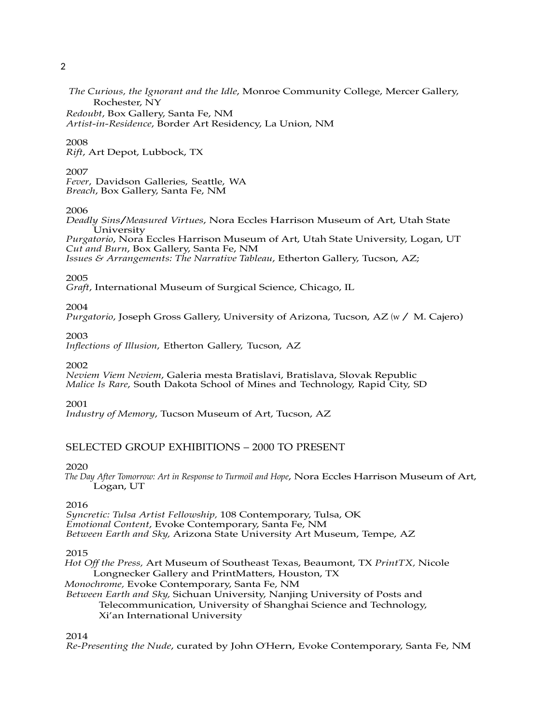*The Curious, the Ignorant and the Idle*, Monroe Community College, Mercer Gallery, Rochester, NY

*Redoubt*, Box Gallery, Santa Fe, NM *Artist-in-Residence*, Border Art Residency, La Union, NM

# 2008

*Rift*, Art Depot, Lubbock, TX

### 2007

*Fever*, Davidson Galleries, Seattle, WA *Breach*, Box Gallery, Santa Fe, NM

# 2006

*Deadly Sins/Measured Virtues*, Nora Eccles Harrison Museum of Art, Utah State University *Purgatorio*, Nora Eccles Harrison Museum of Art, Utah State University, Logan, UT *Cut and Burn*, Box Gallery, Santa Fe, NM *Issues & Arrangements: The Narrative Tableau*, Etherton Gallery, Tucson, AZ;

### 2005

*Graft*, International Museum of Surgical Science, Chicago, IL

### 2004

*Purgatorio*, Joseph Gross Gallery, University of Arizona, Tucson, AZ (w/ M. Cajero)

### 2003

*Inflections of Illusion*, Etherton Gallery, Tucson, AZ

2002

*Neviem Viem Neviem*, Galeria mesta Bratislavi, Bratislava, Slovak Republic *Malice Is Rare*, South Dakota School of Mines and Technology, Rapid City, SD

### 2001

*Industry of Memory*, Tucson Museum of Art, Tucson, AZ

# SELECTED GROUP EXHIBITIONS – 2000 TO PRESENT

### 2020

 *The Day After Tomorrow: Art in Response to Turmoil and Hope*, Nora Eccles Harrison Museum of Art, Logan, UT

### 2016

*Syncretic: Tulsa Artist Fellowship,* 108 Contemporary, Tulsa, OK *Emotional Content*, Evoke Contemporary, Santa Fe, NM *Between Earth and Sky,* Arizona State University Art Museum, Tempe, AZ

2015

*Hot Off the Press,* Art Museum of Southeast Texas, Beaumont, TX *PrintTX,* Nicole Longnecker Gallery and PrintMatters, Houston, TX *Monochrome,* Evoke Contemporary, Santa Fe, NM *Between Earth and Sky,* Sichuan University, Nanjing University of Posts and Telecommunication, University of Shanghai Science and Technology, Xi'an International University

2014

*Re-Presenting the Nude*, curated by John O'Hern, Evoke Contemporary, Santa Fe, NM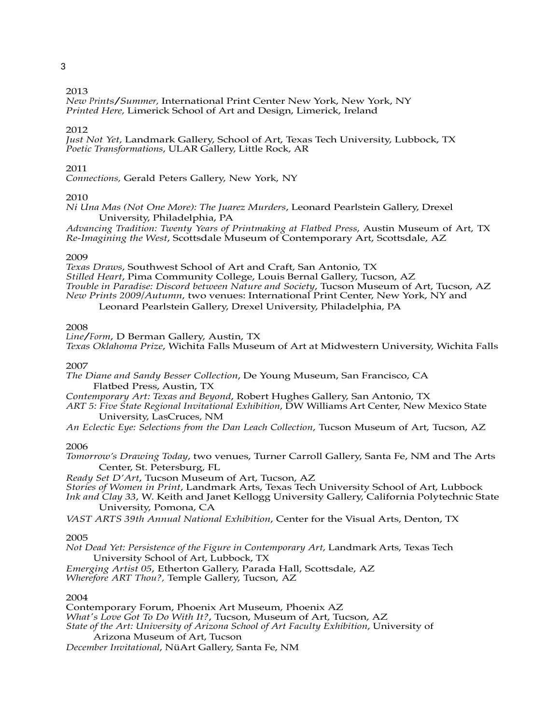### 2013

*New Prints/Summer,* International Print Center New York, New York, NY *Printed Here,* Limerick School of Art and Design, Limerick, Ireland

#### 2012

*Just Not Yet,* Landmark Gallery, School of Art, Texas Tech University, Lubbock, TX *Poetic Transformations*, ULAR Gallery, Little Rock, AR

#### 2011

*Connections,* Gerald Peters Gallery, New York, NY

### 2010

*Ni Una Mas (Not One More): The Juarez Murders*, Leonard Pearlstein Gallery, Drexel University, Philadelphia, PA

*Advancing Tradition: Twenty Years of Printmaking at Flatbed Press*, Austin Museum of Art, TX *Re-Imagining the West*, Scottsdale Museum of Contemporary Art, Scottsdale, AZ

#### 2009

*Texas Draws*, Southwest School of Art and Craft, San Antonio, TX *Stilled Heart*, Pima Community College, Louis Bernal Gallery, Tucson, AZ *Trouble in Paradise: Discord between Nature and Society*, Tucson Museum of Art, Tucson, AZ *New Prints 2009/Autumn*, two venues: International Print Center, New York, NY and Leonard Pearlstein Gallery, Drexel University, Philadelphia, PA

#### 2008

*Line/Form*, <sup>D</sup> Berman Gallery, Austin, TX *Texas Oklahoma Prize*, Wichita Falls Museum of Art at Midwestern University, Wichita Falls

### 2007

*The Diane and Sandy Besser Collection*, De Young Museum, San Francisco, CA Flatbed Press, Austin, TX

*Contemporary Art: Texas and Beyond*, Robert Hughes Gallery, San Antonio, TX

*ART 5: Five State Regional Invitational Exhibition*, DW Williams Art Center, New Mexico State University, LasCruces, NM

*An Eclectic Eye: Selections from the Dan Leach Collection*, Tucson Museum of Art, Tucson, AZ

#### 2006

*Tomorrow's Drawing Today*, two venues, Turner Carroll Gallery, Santa Fe, NM and The Arts Center, St. Petersburg, FL

*Ready Set D'Art*, Tucson Museum of Art, Tucson, AZ

*Stories of Women in Print*, Landmark Arts, Texas Tech University School of Art, Lubbock

*Ink and Clay 33*, W. Keith and Janet Kellogg University Gallery, California Polytechnic State University, Pomona, CA

*VAST ARTS 39th Annual National Exhibition*, Center for the Visual Arts, Denton, TX

#### 2005

*Not Dead Yet: Persistence of the Figure in Contemporary Art*, Landmark Arts, Texas Tech University School of Art, Lubbock, TX

*Emerging Artist 05*, Etherton Gallery, Parada Hall, Scottsdale, AZ *Wherefore ART Thou?,* Temple Gallery, Tucson, AZ

#### 2004

Contemporary Forum, Phoenix Art Museum, Phoenix AZ *What's Love Got To Do With It?*, Tucson, Museum of Art, Tucson, AZ *State of the Art: University of Arizona School of Art Faculty Exhibition*, University of Arizona Museum of Art, Tucson *December Invitational*, NüArt Gallery, Santa Fe, NM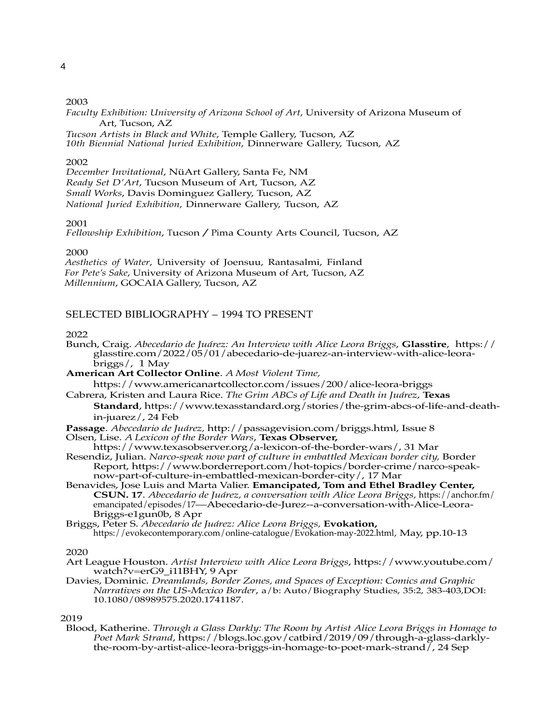*Faculty Exhibition: University of Arizona School of Art*, University of Arizona Museum of Art, Tucson, AZ

*Tucson Artists in Black and White*, Temple Gallery, Tucson, AZ *10th Biennial National Juried Exhibition*, Dinnerware Gallery, Tucson, AZ

### 2002

*December Invitational*, NüArt Gallery, Santa Fe, NM *Ready Set D'Art*, Tucson Museum of Art, Tucson, AZ *Small Works*, Davis Dominguez Gallery, Tucson, AZ *National Juried Exhibition*, Dinnerware Gallery, Tucson, AZ

### 2001

*Fellowship Exhibition*, Tucson/Pima County Arts Council, Tucson, AZ

#### 2000

*Aesthetics of Water*, University of Joensuu, Rantasalmi, Finland *For Pete's Sake*, University of Arizona Museum of Art, Tucson, AZ *Millennium*, GOCAIA Gallery, Tucson, AZ

# SELECTED BIBLIOGRAPHY – 1994 TO PRESENT

# 2022

- Bunch, Craig. *Abecedario de Juárez: An Interview with Alice Leora Briggs*, **Glasstire**, https:// glasstire.com/2022/05/01/abecedario-de-juarez-an-interview-with-alice-leorabriggs/, 1 May
- **American Art Collector Online**. *A Most Violent Time,*

https://www.americanartcollector.com/issues/200/alice-leora-briggs

Cabrera, Kristen and Laura Rice. *The Grim ABCs of Life and Death in Juárez*, **Texas Standard**, https://www.texasstandard.org/stories/the-grim-abcs-of-life-and-deathin-juarez/, 24 Feb

**Passage**. *Abecedario de Juárez,* http://passagevision.com/briggs.html, Issue 8

Olsen, Lise. *A Lexicon of the Border Wars*, **Texas Observer,**

https://www.texasobserver.org/a-lexicon-of-the-border-wars/, 31 Mar Resendiz, Julian. *Narco-speak now part of culture in embattled Mexican border city,* Border Report, https://www.borderreport.com/hot-topics/border-crime/narco-speaknow-part-of-culture-in-embattled-mexican-border-city/, 17 Mar

- Benavides, Jose Luis and Marta Valier. **Emancipated, Tom and Ethel Bradley Center, CSUN. 17**. *Abecedario de Juárez, a conversation with Alice Leora Briggs,* https://anchor.fm/ emancipated/episodes/17—Abecedario-de-Jurez--a-conversation-with-Alice-Leora-Briggs-e1gun0b, 8 Apr
- Briggs, Peter S. *Abecedario de Juárez: Alice Leora Briggs,* **Evokation,** https://evokecontemporary.com/online-catalogue/Evokation-may-2022.html*,* May, pp.10-13

#### 2020

- Art League Houston. *Artist Interview with Alice Leora Briggs*, https://www.youtube.com/ watch?v=erG9\_i11BHY, 9 Apr
- Davies, Dominic. *Dreamlands, Border Zones, and Spaces of Exception: Comics and Graphic Narratives on the US-Mexico Border*, a/b: Auto/Biography Studies, 35:2, 383-403,DOI: 10.1080/08989575.2020.1741187.

#### 2019

Blood, Katherine. *Through a Glass Darkly: The Room by Artist Alice Leora Briggs in Homage to Poet Mark Strand*, https://blogs.loc.gov/catbird/2019/09/through-a-glass-darklythe-room-by-artist-alice-leora-briggs-in-homage-to-poet-mark-strand/, 24 Sep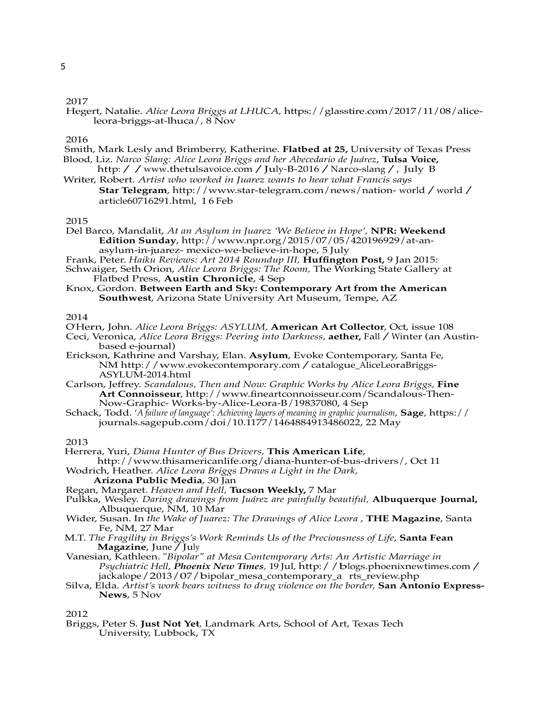Hegert, Natalie. *Alice Leora Briggs at LHUCA,* https://glasstire.com/2017/11/08/aliceleora-briggs-at-lhuca/*,* 8 Nov

### 2016

- Smith, Mark Lesly and Brimberry, Katherine. **Flatbed at 25,** University of Texas Press Blood, Liz. *Narco Slang: Alice Leora Briggs and her Abecedario de Juárez*, **Tulsa Voice,**
- http://www.thetulsavoice.com/July-B-2016/Narco-slang/, July B Writer, Robert. *Artist who worked in Juarez wants to hear what Francis says*
	- **Star Telegram**, http://www.star-telegram.com/news/nation- world/world/ article60716291.html, 1 6 Feb

### 2015

- Del Barco, Mandalit, *At an Asylum in Juarez 'We Believe in Hope',* **NPR: Weekend Edition Sunday**, http://www.npr.org/2015/07/05/420196929/at-anasylum-in-juarez- mexico-we-believe-in-hope, 5 July
- Frank, Peter. *Haiku Reviews: Art 2014 Roundup III,* **Huffington Post,** 9 Jan 2015:
- Schwaiger, Seth Orion, *Alice Leora Briggs: The Room,* The Working State Gallery at Flatbed Press*,* **Austin Chronicle**, 4 Sep
- Knox, Gordon. **Between Earth and Sky: Contemporary Art from the American Southwest**, Arizona State University Art Museum, Tempe, AZ

2014

- O'Hern, John. *Alice Leora Briggs: ASYLUM,* **American Art Collector**, Oct, issue 108
- Ceci, Veronica, *Alice Leora Briggs: Peering into Darkness,* **aether,** Fall/Winter (an Austinbased e-journal)
- Erickson, Kathrine and Varshay, Elan. **Asylum**, Evoke Contemporary, Santa Fe, NM http://www.evokecontemporary.com/catalogue\_AIiceLeoraBriggs-ASYLUM-2014.html
- Carlson, Jeffrey. *Scandalous, Then and Now: Graphic Works by Alice Leora Briggs,* **Fine Art Connoisseur**, http://www.fineartconnoisseur.com/Scandalous-Then-Now-Graphic- Works-by-Alice-Leora-B/19837080, 4 Sep
- Schack, Todd. '*A failure of language': Achieving layers of meaning in graphic journalism*, **Sage**, https:// journals.sagepub.com/doi/10.1177/1464884913486022, 22 May

2013

- Herrera, Yuri, *Diana Hunter of Bus Drivers,* **This American Life**,
- http://www.thisamericanlife.org/diana-hunter-of-bus-drivers/, Oct 11 Wodrich, Heather. *Alice Leora Briggs Draws a Light in the Dark,*

**Arizona Public Media**, 30 Jan

- Regan, Margaret. *Heaven and Hell,* **Tucson Weekly,** 7 Mar
- Pulkka, Wesley. *Daring drawings from Juárez are painfully beautiful,* **Albuquerque Journal,** Albuquerque, NM, 10 Mar
- Wider, Susan. In *the Wake of Juarez: The Drawings of Alice Leora ,* **THE Magazine**, Santa Fe, NM, 27 Mar
- M.T. *The Fragility in Briggs's Work Reminds Us of the Preciousness of Life*, **Santa Fean Magazine**, June/July
- Vanesian, Kathleen. "*Bipolar" at Mesa Contemporary Arts: An Artistic Marriage in Psychiatric Hell, Phoenix New Times,* <sup>19</sup> Jul*,* http://blogs.phoenixnewtimes.com/ jackalope/2013/07/bipolar\_mesa\_contemporary\_a rts\_review.php
- Silva, Elda. *Artist's work bears witness to drug violence on the border,* **San Antonio Express-News**, 5 Nov

2012

Briggs, Peter S. **Just Not Yet***,* Landmark Arts, School of Art, Texas Tech University, Lubbock, TX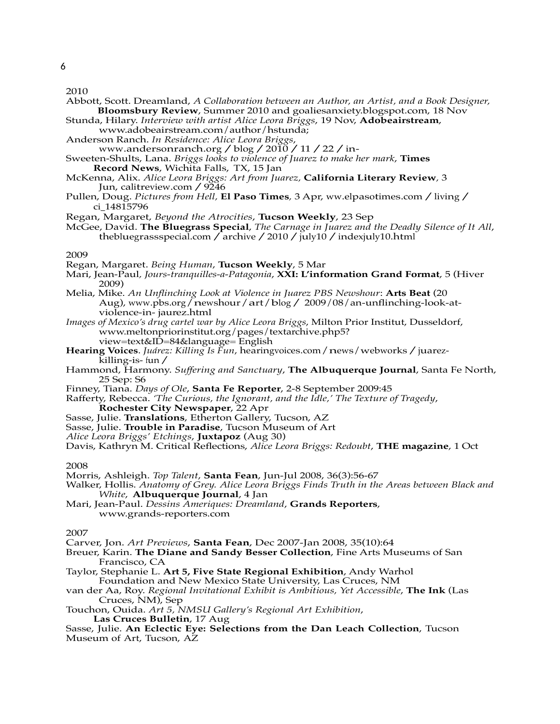- Abbott, Scott. Dreamland, *A Collaboration between an Author, an Artist, and a Book Designer,* **Bloomsbury Review**, Summer 2010 and goaliesanxiety.blogspot.com, 18 Nov
- Stunda, Hilary. *Interview with artist Alice Leora Briggs*, 19 Nov, **Adobeairstream**, www.adobeairstream.com/author/hstunda;
- Anderson Ranch. *In Residence: Alice Leora Briggs*,
- www.andersonranch.org/blog/2010/11/22/in-
- Sweeten-Shults, Lana. *Briggs looks to violence of Juarez to make her mark*, **Times Record News**, Wichita Falls, TX, 15 Jan
- McKenna, Alix. *Alice Leora Briggs: Art from Juarez,* **California Literary Review***,* 3 Jun, calitreview.com/9246
- Pullen, Doug. *Pictures from Hell,* **El Paso Times***,* <sup>3</sup> Apr, ww.elpasotimes.com/living/ ci\_14815796
- Regan, Margaret, *Beyond the Atrocities*, **Tucson Weekly**, 23 Sep
- McGee, David. **The Bluegrass Special**, *The Carnage in Juarez and the Deadly Silence of It All*, thebluegrassspecial.com / archive / 2010 / july10 / indexjuly10.html

#### 2009

- Regan, Margaret. *Being Human*, **Tucson Weekly**, 5 Mar
- Mari, Jean-Paul*, Jours-tranquilles-a-Patagonia*, **XXI: L'information Grand Format**, 5 (Hiver 2009)
- Melia, Mike. *An Unflinching Look at Violence in Juarez PBS Newshour*: **Arts Beat** (20 Aug), www.pbs.org/newshour/art/blog/2009/08/an-unflinching-look-atviolence-in- jaurez.html
- *Images of Mexico's drug cartel war by Alice Leora Briggs*, Milton Prior Institut, Dusseldorf, www.meltonpriorinstitut.org/pages/textarchive.php5? view=text&ID=84&language= English
- **Hearing Voices**. *Juárez: Killing Is Fun*, hearingvoices.com/news/webworks/juarezkilling-is- fun/
- Hammond, Harmony. *Suffering and Sanctuary*, **The Albuquerque Journal**, Santa Fe North, 25 Sep: S6
- Finney, Tiana. *Days of Ole*, **Santa Fe Reporter**, 2-8 September 2009:45
- Rafferty, Rebecca. *'The Curious, the Ignorant, and the Idle,' The Texture of Tragedy*, **Rochester City Newspaper**, 22 Apr
- Sasse, Julie. **Translations**, Etherton Gallery, Tucson, AZ
- Sasse, Julie. **Trouble in Paradise**, Tucson Museum of Art
- *Alice Leora Briggs' Etchings*, **Juxtapoz** (Aug 30)

Davis, Kathryn M. Critical Reflections, *Alice Leora Briggs: Redoubt*, **THE magazine**, 1 Oct

#### 2008

- Morris, Ashleigh. *Top Talent*, **Santa Fean**, Jun-Jul 2008, 36(3):56-67
- Walker, Hollis. *Anatomy of Grey. Alice Leora Briggs Finds Truth in the Areas between Black and White*, **Albuquerque Journal**, 4 Jan
- Mari, Jean-Paul. *Dessins Ameriques: Dreamland*, **Grands Reporters**, www.grands-reporters.com

#### 2007

- Carver, Jon. *Art Previews*, **Santa Fean**, Dec 2007-Jan 2008, 35(10):64
- Breuer, Karin. **The Diane and Sandy Besser Collection**, Fine Arts Museums of San Francisco, CA
- Taylor, Stephanie L. **Art 5, Five State Regional Exhibition**, Andy Warhol Foundation and New Mexico State University, Las Cruces, NM
- van der Aa, Roy. *Regional Invitational Exhibit is Ambitious, Yet Accessible*, **The Ink** (Las Cruces, NM), Sep
- Touchon, Ouida. *Art 5, NMSU Gallery's Regional Art Exhibition*, **Las Cruces Bulletin**, 17 Aug
- Sasse, Julie. **An Eclectic Eye: Selections from the Dan Leach Collection**, Tucson Museum of Art, Tucson, AZ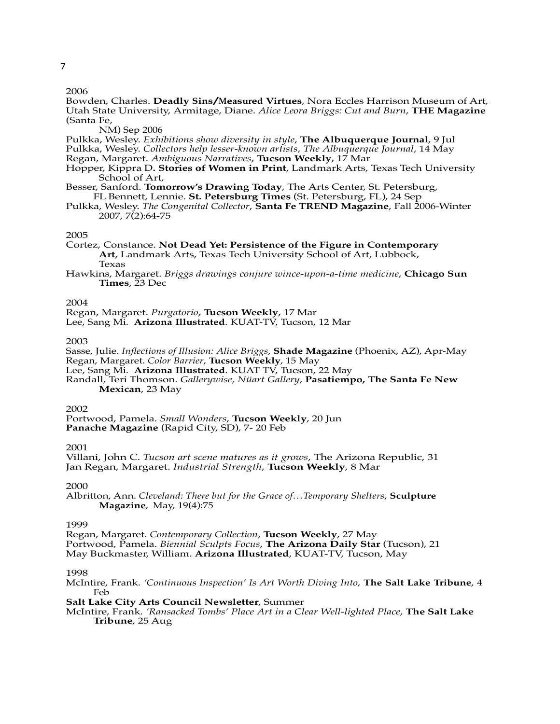Bowden, Charles. **Deadly Sins/Measured Virtues**, Nora Eccles Harrison Museum of Art, Utah State University, Armitage, Diane. *Alice Leora Briggs: Cut and Burn*, **THE Magazine** (Santa Fe,

NM) Sep 2006

Pulkka, Wesley. *Exhibitions show diversity in style*, **The Albuquerque Journal**, 9 Jul Pulkka, Wesley. *Collectors help lesser-known artists*, *The Albuquerque Journal*, 14 May Regan, Margaret. *Ambiguous Narratives*, **Tucson Weekly**, 17 Mar

- Hopper, Kippra D**. Stories of Women in Print**, Landmark Arts, Texas Tech University School of Art,
- Besser, Sanford. **Tomorrow's Drawing Today**, The Arts Center, St. Petersburg, FL Bennett, Lennie. **St. Petersburg Times** (St. Petersburg, FL), 24 Sep
- Pulkka, Wesley. *The Congenital Collector*, **Santa Fe TREND Magazine**, Fall 2006-Winter 2007, 7(2):64-75

#### 2005

Cortez, Constance. **Not Dead Yet: Persistence of the Figure in Contemporary Art**, Landmark Arts, Texas Tech University School of Art, Lubbock, Texas

Hawkins, Margaret. *Briggs drawings conjure wince-upon-a-time medicine*, **Chicago Sun Times**, 23 Dec

### 2004

Regan, Margaret. *Purgatorio*, **Tucson Weekly**, 17 Mar

Lee, Sang Mi. **Arizona Illustrated**. KUAT-TV, Tucson, 12 Mar

#### 2003

Sasse, Julie. *Inflections of Illusion: Alice Briggs*, **Shade Magazine** (Phoenix, AZ), Apr-May Regan, Margaret. *Color Barrier*, **Tucson Weekly**, 15 May

Lee, Sang Mi. **Arizona Illustrated**. KUAT TV, Tucson, 22 May

Randall, Teri Thomson. *Gallerywise, Nüart Gallery*, **Pasatiempo, The Santa Fe New Mexican**, 23 May

#### 2002

Portwood, Pamela. *Small Wonders*, **Tucson Weekly**, 20 Jun **Panache Magazine** (Rapid City, SD), 7- 20 Feb

2001

Villani, John C. *Tucson art scene matures as it grows*, The Arizona Republic, 31 Jan Regan, Margaret. *Industrial Strength*, **Tucson Weekly**, 8 Mar

### 2000

Albritton, Ann. *Cleveland: There but for the Grace of…Temporary Shelters*, **Sculpture Magazine**, May, 19(4):75

1999

Regan, Margaret. *Contemporary Collection*, **Tucson Weekly**, 27 May Portwood, Pamela. *Biennial Sculpts Focus*, **The Arizona Daily Star** (Tucson), 21 May Buckmaster, William. **Arizona Illustrated**, KUAT-TV, Tucson, May

### 1998

McIntire, Frank. *'Continuous Inspection' Is Art Worth Diving Into*, **The Salt Lake Tribune**, 4 Feb

**Salt Lake City Arts Council Newsletter**, Summer

McIntire, Frank*. 'Ransacked Tombs' Place Art in a Clear Well-lighted Place*, **The Salt Lake Tribune**, 25 Aug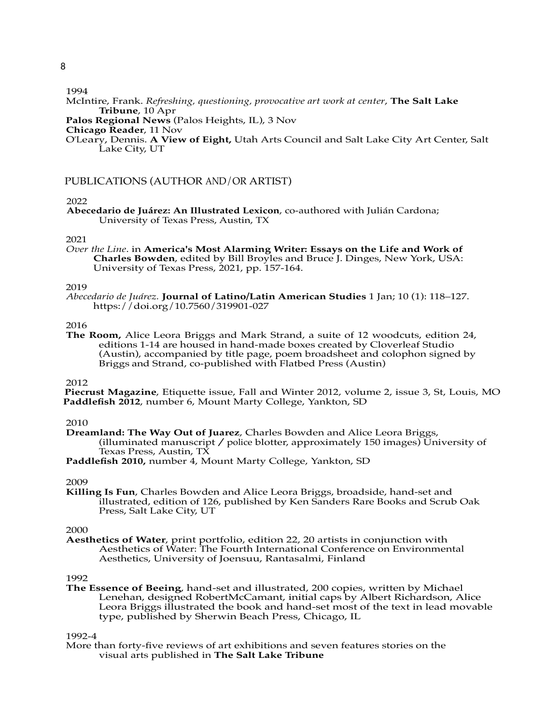1994

- McIntire, Frank. *Refreshing, questioning, provocative art work at center*, **The Salt Lake Tribune**, 10 Apr
- **Palos Regional News** (Palos Heights, IL), 3 Nov

O'Leary, Dennis. **A View of Eight,** Utah Arts Council and Salt Lake City Art Center, Salt Lake City, UT

# PUBLICATIONS (AUTHOR AND/OR ARTIST)

# 2022

**Abecedario de Juárez: An Illustrated Lexicon**, co-authored with Julián Cardona; University of Texas Press, Austin, TX

2021

*Over the Line*. in **America's Most Alarming Writer: Essays on the Life and Work of Charles Bowden**, edited by Bill Broyles and Bruce J. Dinges, New York, USA: University of Texas Press, 2021, pp. 157-164.

#### 2019

*Abecedario de Juárez.* **Journal of Latino/Latin American Studies** 1 Jan; 10 (1): 118–127. https://doi.org/10.7560/319901-027

#### 2016

**The Room,** Alice Leora Briggs and Mark Strand, a suite of 12 woodcuts, edition 24, editions 1-14 are housed in hand-made boxes created by Cloverleaf Studio (Austin), accompanied by title page, poem broadsheet and colophon signed by Briggs and Strand, co-published with Flatbed Press (Austin)

#### 2012

**Piecrust Magazine**, Etiquette issue, Fall and Winter 2012, volume 2, issue 3, St, Louis, MO **Paddlefish 2012**, number 6, Mount Marty College, Yankton, SD

### 2010

**Dreamland: The Way Out of Juarez**, Charles Bowden and Alice Leora Briggs, (illuminated manuscript  $\ell$  police blotter, approximately 150 images) University of Texas Press, Austin, TX

**Paddlefish 2010,** number 4, Mount Marty College, Yankton, SD

#### 2009

**Killing Is Fun**, Charles Bowden and Alice Leora Briggs, broadside, hand-set and illustrated, edition of 126, published by Ken Sanders Rare Books and Scrub Oak Press, Salt Lake City, UT

### 2000

**Aesthetics of Water**, print portfolio, edition 22, 20 artists in conjunction with Aesthetics of Water: The Fourth International Conference on Environmental Aesthetics, University of Joensuu, Rantasalmi, Finland

### 1992

**The Essence of Beeing**, hand-set and illustrated, 200 copies, written by Michael Lenehan, designed RobertMcCamant, initial caps by Albert Richardson, Alice Leora Briggs illustrated the book and hand-set most of the text in lead movable type, published by Sherwin Beach Press, Chicago, IL

### 1992-4

More than forty-five reviews of art exhibitions and seven features stories on the visual arts published in **The Salt Lake Tribune**

**Chicago Reader**, 11 Nov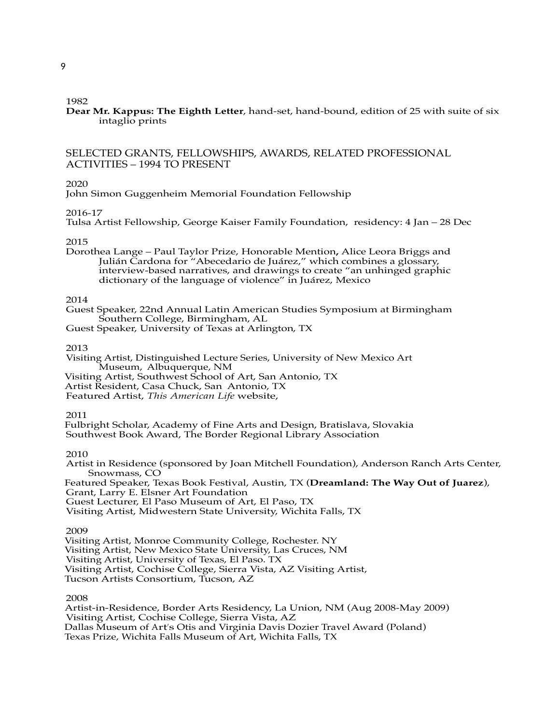**Dear Mr. Kappus: The Eighth Letter**, hand-set, hand-bound, edition of 25 with suite of six intaglio prints

# SELECTED GRANTS, FELLOWSHIPS, AWARDS, RELATED PROFESSIONAL ACTIVITIES – 1994 TO PRESENT

### 2020

John Simon Guggenheim Memorial Foundation Fellowship

### 2016-17

Tulsa Artist Fellowship, George Kaiser Family Foundation, residency: 4 Jan – 28 Dec

### 2015

Dorothea Lange – Paul Taylor Prize, Honorable Mention**,** Alice Leora Briggs and Julián Cardona for "Abecedario de Juárez," which combines a glossary, interview-based narratives, and drawings to create "an unhinged graphic dictionary of the language of violence" in Juárez, Mexico

### 2014

Guest Speaker, 22nd Annual Latin American Studies Symposium at Birmingham Southern College, Birmingham, AL

Guest Speaker, University of Texas at Arlington, TX

#### 2013

Visiting Artist, Distinguished Lecture Series, University of New Mexico Art Museum, Albuquerque, NM

- Visiting Artist, Southwest School of Art, San Antonio, TX
- Artist Resident, Casa Chuck, San Antonio, TX

Featured Artist, *This American Life* website,

#### 2011

Fulbright Scholar, Academy of Fine Arts and Design, Bratislava, Slovakia Southwest Book Award, The Border Regional Library Association

#### 2010

Artist in Residence (sponsored by Joan Mitchell Foundation), Anderson Ranch Arts Center, Snowmass, CO Featured Speaker, Texas Book Festival, Austin, TX (**Dreamland: The Way Out of Juarez**), Grant, Larry E. Elsner Art Foundation Guest Lecturer, El Paso Museum of Art, El Paso, TX Visiting Artist, Midwestern State University, Wichita Falls, TX

#### 2009

Visiting Artist, Monroe Community College, Rochester. NY Visiting Artist, New Mexico State University, Las Cruces, NM Visiting Artist, University of Texas, El Paso. TX Visiting Artist, Cochise College, Sierra Vista, AZ Visiting Artist, Tucson Artists Consortium, Tucson, AZ

### 2008

Artist-in-Residence, Border Arts Residency, La Union, NM (Aug 2008-May 2009) Visiting Artist, Cochise College, Sierra Vista, AZ Dallas Museum of Art's Otis and Virginia Davis Dozier Travel Award (Poland) Texas Prize, Wichita Falls Museum of Art, Wichita Falls, TX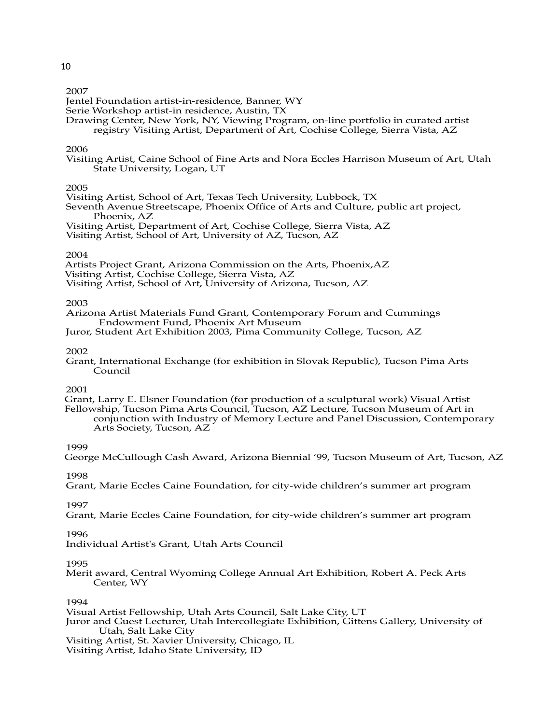Jentel Foundation artist-in-residence, Banner, WY

Serie Workshop artist-in residence, Austin, TX

Drawing Center, New York, NY, Viewing Program, on-line portfolio in curated artist registry Visiting Artist, Department of Art, Cochise College, Sierra Vista, AZ

### 2006

Visiting Artist, Caine School of Fine Arts and Nora Eccles Harrison Museum of Art, Utah State University, Logan, UT

# 2005

Visiting Artist, School of Art, Texas Tech University, Lubbock, TX

Seventh Avenue Streetscape, Phoenix Office of Arts and Culture, public art project, Phoenix, AZ

Visiting Artist, Department of Art, Cochise College, Sierra Vista, AZ

Visiting Artist, School of Art, University of AZ, Tucson, AZ

### 2004

Artists Project Grant, Arizona Commission on the Arts, Phoenix,AZ

Visiting Artist, Cochise College, Sierra Vista, AZ

Visiting Artist, School of Art, University of Arizona, Tucson, AZ

### 2003

Arizona Artist Materials Fund Grant, Contemporary Forum and Cummings Endowment Fund, Phoenix Art Museum

Juror, Student Art Exhibition 2003, Pima Community College, Tucson, AZ

# 2002

Grant, International Exchange (for exhibition in Slovak Republic), Tucson Pima Arts Council

### 2001

Grant, Larry E. Elsner Foundation (for production of a sculptural work) Visual Artist Fellowship, Tucson Pima Arts Council, Tucson, AZ Lecture, Tucson Museum of Art in conjunction with Industry of Memory Lecture and Panel Discussion, Contemporary Arts Society, Tucson, AZ

# 1999

George McCullough Cash Award, Arizona Biennial '99, Tucson Museum of Art, Tucson, AZ

1998

Grant, Marie Eccles Caine Foundation, for city-wide children's summer art program

# 1997

Grant, Marie Eccles Caine Foundation, for city-wide children's summer art program

# 1996

Individual Artist's Grant, Utah Arts Council

### 1995

Merit award, Central Wyoming College Annual Art Exhibition, Robert A. Peck Arts Center, WY

### 1994

Visual Artist Fellowship, Utah Arts Council, Salt Lake City, UT

Juror and Guest Lecturer, Utah Intercollegiate Exhibition, Gittens Gallery, University of Utah, Salt Lake City

Visiting Artist, St. Xavier University, Chicago, IL

Visiting Artist, Idaho State University, ID